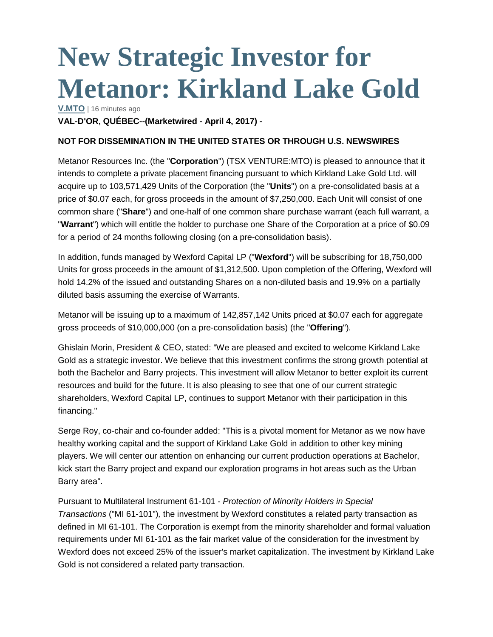## **New Strategic Investor for Metanor: Kirkland Lake Gold**

**[V.MTO](http://www.stockhouse.com/companies/quote?symbol=v.mto)** | 16 minutes ago

**VAL-D'OR, QUÉBEC--(Marketwired - April 4, 2017) -**

## **NOT FOR DISSEMINATION IN THE UNITED STATES OR THROUGH U.S. NEWSWIRES**

Metanor Resources Inc. (the "**Corporation**") (TSX VENTURE:MTO) is pleased to announce that it intends to complete a private placement financing pursuant to which Kirkland Lake Gold Ltd. will acquire up to 103,571,429 Units of the Corporation (the "**Units**") on a pre-consolidated basis at a price of \$0.07 each, for gross proceeds in the amount of \$7,250,000. Each Unit will consist of one common share ("**Share**") and one-half of one common share purchase warrant (each full warrant, a "**Warrant**") which will entitle the holder to purchase one Share of the Corporation at a price of \$0.09 for a period of 24 months following closing (on a pre-consolidation basis).

In addition, funds managed by Wexford Capital LP ("**Wexford**") will be subscribing for 18,750,000 Units for gross proceeds in the amount of \$1,312,500. Upon completion of the Offering, Wexford will hold 14.2% of the issued and outstanding Shares on a non-diluted basis and 19.9% on a partially diluted basis assuming the exercise of Warrants.

Metanor will be issuing up to a maximum of 142,857,142 Units priced at \$0.07 each for aggregate gross proceeds of \$10,000,000 (on a pre-consolidation basis) (the "**Offering**").

Ghislain Morin, President & CEO, stated: "We are pleased and excited to welcome Kirkland Lake Gold as a strategic investor. We believe that this investment confirms the strong growth potential at both the Bachelor and Barry projects. This investment will allow Metanor to better exploit its current resources and build for the future. It is also pleasing to see that one of our current strategic shareholders, Wexford Capital LP, continues to support Metanor with their participation in this financing."

Serge Roy, co-chair and co-founder added: "This is a pivotal moment for Metanor as we now have healthy working capital and the support of Kirkland Lake Gold in addition to other key mining players. We will center our attention on enhancing our current production operations at Bachelor, kick start the Barry project and expand our exploration programs in hot areas such as the Urban Barry area".

Pursuant to Multilateral Instrument 61-101 - *Protection of Minority Holders in Special Transactions* ("MI 61-101")*,* the investment by Wexford constitutes a related party transaction as defined in MI 61-101. The Corporation is exempt from the minority shareholder and formal valuation requirements under MI 61-101 as the fair market value of the consideration for the investment by Wexford does not exceed 25% of the issuer's market capitalization. The investment by Kirkland Lake Gold is not considered a related party transaction.